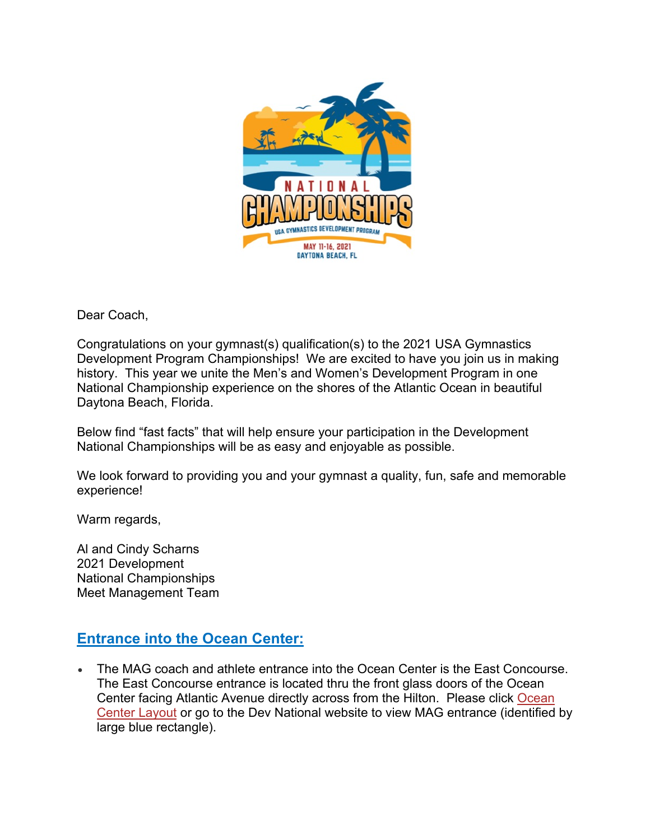

Dear Coach,

Congratulations on your gymnast(s) qualification(s) to the 2021 USA Gymnastics Development Program Championships! We are excited to have you join us in making history. This year we unite the Men's and Women's Development Program in one National Championship experience on the shores of the Atlantic Ocean in beautiful Daytona Beach, Florida.

Below find "fast facts" that will help ensure your participation in the Development National Championships will be as easy and enjoyable as possible.

We look forward to providing you and your gymnast a quality, fun, safe and memorable experience!

Warm regards,

Al and Cindy Scharns 2021 Development National Championships Meet Management Team

## **Entrance into the Ocean Center:**

• The MAG coach and athlete entrance into the Ocean Center is the East Concourse. The East Concourse entrance is located thru the front glass doors of the Ocean Center facing Atlantic Avenue directly across from the Hilton. Please click Ocean Center Layout or go to the Dev National website to view MAG entrance (identified by large blue rectangle).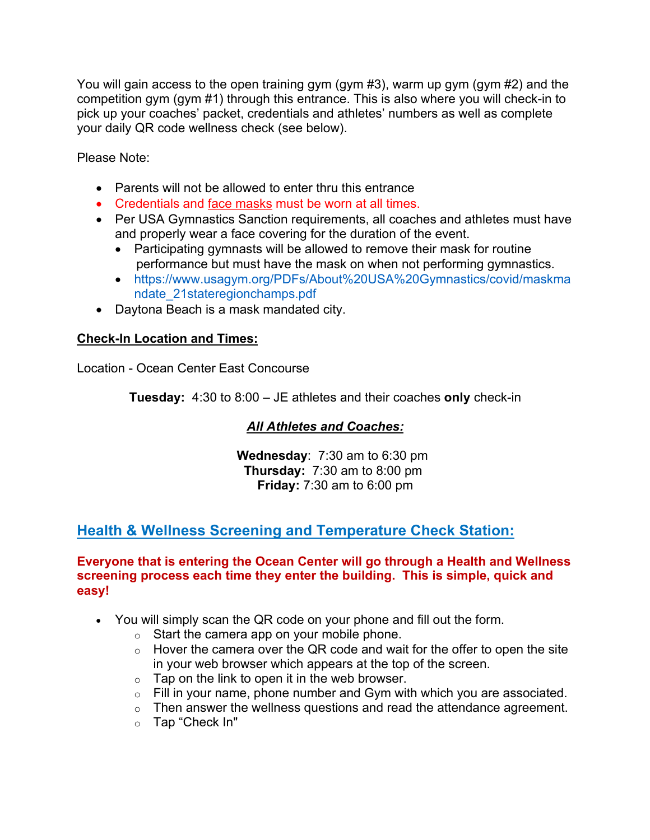You will gain access to the open training gym (gym #3), warm up gym (gym #2) and the competition gym (gym #1) through this entrance. This is also where you will check-in to pick up your coaches' packet, credentials and athletes' numbers as well as complete your daily QR code wellness check (see below).

Please Note:

- Parents will not be allowed to enter thru this entrance
- Credentials and face masks must be worn at all times.
- Per USA Gymnastics Sanction requirements, all coaches and athletes must have and properly wear a face covering for the duration of the event.
	- Participating gymnasts will be allowed to remove their mask for routine performance but must have the mask on when not performing gymnastics.
	- https://www.usagym.org/PDFs/About%20USA%20Gymnastics/covid/maskma ndate\_21stateregionchamps.pdf
- Daytona Beach is a mask mandated city.

### **Check-In Location and Times:**

Location - Ocean Center East Concourse

**Tuesday:** 4:30 to 8:00 – JE athletes and their coaches **only** check-in

### *All Athletes and Coaches:*

 **Wednesday**: 7:30 am to 6:30 pm  **Thursday:** 7:30 am to 8:00 pm  **Friday:** 7:30 am to 6:00 pm

### **Health & Wellness Screening and Temperature Check Station:**

#### **Everyone that is entering the Ocean Center will go through a Health and Wellness screening process each time they enter the building. This is simple, quick and easy!**

- You will simply scan the QR code on your phone and fill out the form.
	- $\circ$  Start the camera app on your mobile phone.
	- $\circ$  Hover the camera over the QR code and wait for the offer to open the site in your web browser which appears at the top of the screen.
	- $\circ$  Tap on the link to open it in the web browser.
	- o Fill in your name, phone number and Gym with which you are associated.
	- o Then answer the wellness questions and read the attendance agreement.
	- o Tap "Check In"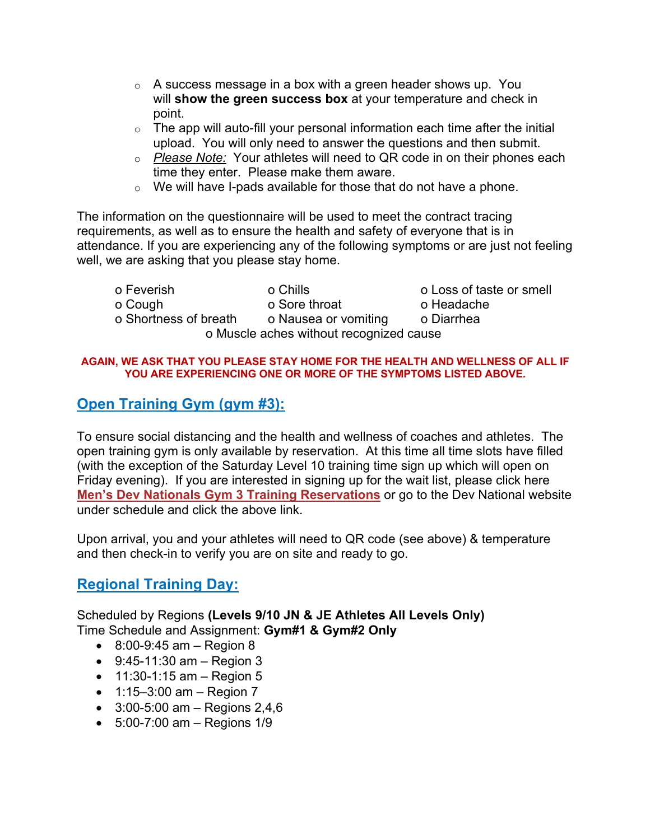- $\circ$  A success message in a box with a green header shows up. You will **show the green success box** at your temperature and check in point.
- $\circ$  The app will auto-fill your personal information each time after the initial upload. You will only need to answer the questions and then submit.
- o *Please Note:* Your athletes will need to QR code in on their phones each time they enter. Please make them aware.
- $\circ$  We will have I-pads available for those that do not have a phone.

The information on the questionnaire will be used to meet the contract tracing requirements, as well as to ensure the health and safety of everyone that is in attendance. If you are experiencing any of the following symptoms or are just not feeling well, we are asking that you please stay home.

| o Feverish            | o Chills                                | o Loss of taste or smell |
|-----------------------|-----------------------------------------|--------------------------|
| o Cough               | o Sore throat                           | o Headache               |
| o Shortness of breath | o Nausea or vomiting                    | o Diarrhea               |
|                       | o Muscle aches without recognized cause |                          |

#### **AGAIN, WE ASK THAT YOU PLEASE STAY HOME FOR THE HEALTH AND WELLNESS OF ALL IF YOU ARE EXPERIENCING ONE OR MORE OF THE SYMPTOMS LISTED ABOVE.**

## **Open Training Gym (gym #3):**

To ensure social distancing and the health and wellness of coaches and athletes. The open training gym is only available by reservation. At this time all time slots have filled (with the exception of the Saturday Level 10 training time sign up which will open on Friday evening). If you are interested in signing up for the wait list, please click here **Men's Dev Nationals Gym 3 Training Reservations** or go to the Dev National website under schedule and click the above link.

Upon arrival, you and your athletes will need to QR code (see above) & temperature and then check-in to verify you are on site and ready to go.

## **Regional Training Day:**

Scheduled by Regions **(Levels 9/10 JN & JE Athletes All Levels Only)** Time Schedule and Assignment: **Gym#1 & Gym#2 Only**

- $\bullet$  8:00-9:45 am Region 8
- 9:45-11:30 am Region 3
- $11:30-1:15$  am Region 5
- $1:15-3:00$  am  $-$  Region 7
- $3:00-5:00$  am Regions 2,4,6
- 5:00-7:00 am Regions 1/9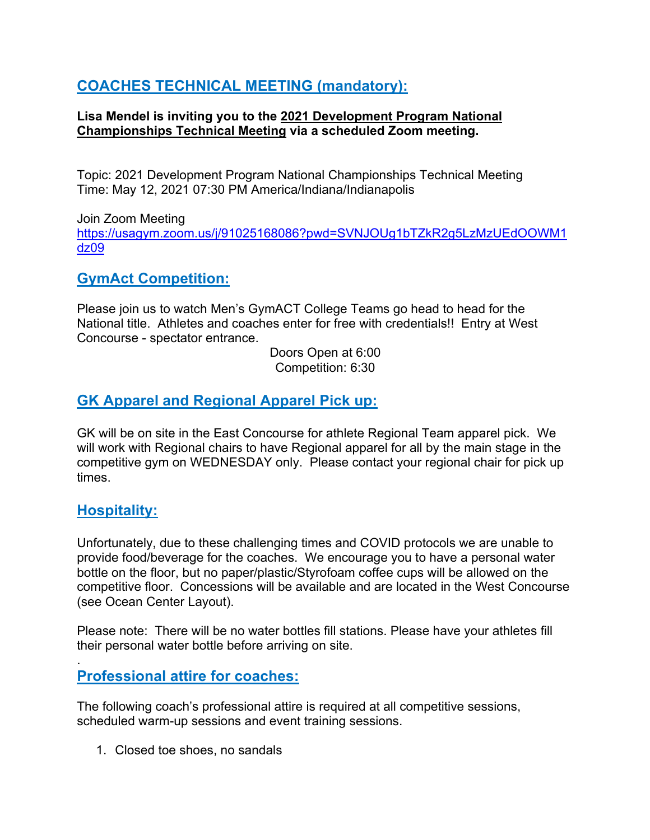# **COACHES TECHNICAL MEETING (mandatory):**

### **Lisa Mendel is inviting you to the 2021 Development Program National Championships Technical Meeting via a scheduled Zoom meeting.**

Topic: 2021 Development Program National Championships Technical Meeting Time: May 12, 2021 07:30 PM America/Indiana/Indianapolis

Join Zoom Meeting https://usagym.zoom.us/j/91025168086?pwd=SVNJOUg1bTZkR2g5LzMzUEdOOWM1 dz09

### **GymAct Competition:**

Please join us to watch Men's GymACT College Teams go head to head for the National title. Athletes and coaches enter for free with credentials!! Entry at West Concourse - spectator entrance.

> Doors Open at 6:00 Competition: 6:30

## **GK Apparel and Regional Apparel Pick up:**

GK will be on site in the East Concourse for athlete Regional Team apparel pick. We will work with Regional chairs to have Regional apparel for all by the main stage in the competitive gym on WEDNESDAY only. Please contact your regional chair for pick up times.

### **Hospitality:**

Unfortunately, due to these challenging times and COVID protocols we are unable to provide food/beverage for the coaches. We encourage you to have a personal water bottle on the floor, but no paper/plastic/Styrofoam coffee cups will be allowed on the competitive floor. Concessions will be available and are located in the West Concourse (see Ocean Center Layout).

Please note: There will be no water bottles fill stations. Please have your athletes fill their personal water bottle before arriving on site.

#### . **Professional attire for coaches:**

The following coach's professional attire is required at all competitive sessions, scheduled warm-up sessions and event training sessions.

1. Closed toe shoes, no sandals